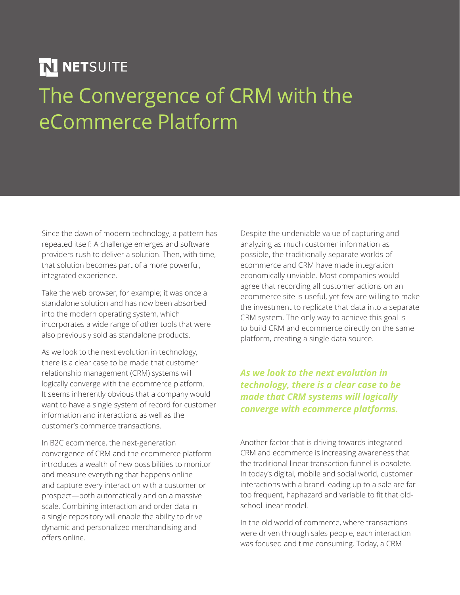## N NETSUITE The Convergence of CRM with the eCommerce Platform

Since the dawn of modern technology, a pattern has repeated itself: A challenge emerges and software providers rush to deliver a solution. Then, with time, that solution becomes part of a more powerful, integrated experience.

Take the web browser, for example; it was once a standalone solution and has now been absorbed into the modern operating system, which incorporates a wide range of other tools that were also previously sold as standalone products.

As we look to the next evolution in technology, there is a clear case to be made that customer relationship management (CRM) systems will logically converge with the ecommerce platform. It seems inherently obvious that a company would want to have a single system of record for customer information and interactions as well as the customer's commerce transactions.

In B2C ecommerce, the next-generation convergence of CRM and the ecommerce platform introduces a wealth of new possibilities to monitor and measure everything that happens online and capture every interaction with a customer or prospect—both automatically and on a massive scale. Combining interaction and order data in a single repository will enable the ability to drive dynamic and personalized merchandising and offers online.

Despite the undeniable value of capturing and analyzing as much customer information as possible, the traditionally separate worlds of ecommerce and CRM have made integration economically unviable. Most companies would agree that recording all customer actions on an ecommerce site is useful, yet few are willing to make the investment to replicate that data into a separate CRM system. The only way to achieve this goal is to build CRM and ecommerce directly on the same platform, creating a single data source.

## *As we look to the next evolution in technology, there is a clear case to be made that CRM systems will logically converge with ecommerce platforms.*

Another factor that is driving towards integrated CRM and ecommerce is increasing awareness that the traditional linear transaction funnel is obsolete. In today's digital, mobile and social world, customer interactions with a brand leading up to a sale are far too frequent, haphazard and variable to fit that oldschool linear model.

In the old world of commerce, where transactions were driven through sales people, each interaction was focused and time consuming. Today, a CRM